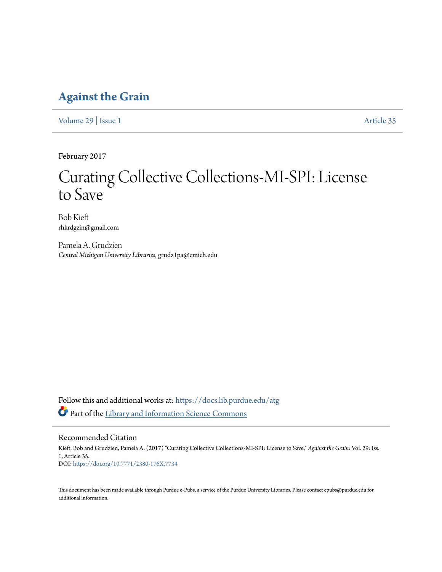# **[Against the Grain](https://docs.lib.purdue.edu/atg?utm_source=docs.lib.purdue.edu%2Fatg%2Fvol29%2Fiss1%2F35&utm_medium=PDF&utm_campaign=PDFCoverPages)**

[Volume 29](https://docs.lib.purdue.edu/atg/vol29?utm_source=docs.lib.purdue.edu%2Fatg%2Fvol29%2Fiss1%2F35&utm_medium=PDF&utm_campaign=PDFCoverPages) | [Issue 1](https://docs.lib.purdue.edu/atg/vol29/iss1?utm_source=docs.lib.purdue.edu%2Fatg%2Fvol29%2Fiss1%2F35&utm_medium=PDF&utm_campaign=PDFCoverPages) [Article 35](https://docs.lib.purdue.edu/atg/vol29/iss1/35?utm_source=docs.lib.purdue.edu%2Fatg%2Fvol29%2Fiss1%2F35&utm_medium=PDF&utm_campaign=PDFCoverPages)

February 2017

# Curating Collective Collections-MI-SPI: License to Save

Bob Kieft rhkrdgzin@gmail.com

Pamela A. Grudzien *Central Michigan University Libraries*, grudz1pa@cmich.edu

Follow this and additional works at: [https://docs.lib.purdue.edu/atg](https://docs.lib.purdue.edu/atg?utm_source=docs.lib.purdue.edu%2Fatg%2Fvol29%2Fiss1%2F35&utm_medium=PDF&utm_campaign=PDFCoverPages) Part of the [Library and Information Science Commons](http://network.bepress.com/hgg/discipline/1018?utm_source=docs.lib.purdue.edu%2Fatg%2Fvol29%2Fiss1%2F35&utm_medium=PDF&utm_campaign=PDFCoverPages)

## Recommended Citation

Kieft, Bob and Grudzien, Pamela A. (2017) "Curating Collective Collections-MI-SPI: License to Save," *Against the Grain*: Vol. 29: Iss. 1, Article 35. DOI: <https://doi.org/10.7771/2380-176X.7734>

This document has been made available through Purdue e-Pubs, a service of the Purdue University Libraries. Please contact epubs@purdue.edu for additional information.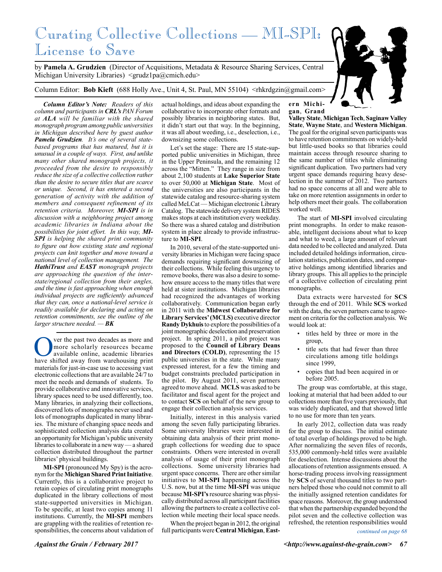# Curating Collective Collections — MI-SPI: License to Save

by **Pamela A. Grudzien** (Director of Acquisitions, Metadata & Resource Sharing Services, Central Michigan University Libraries)  $\langle \text{grudz1pa@cmich.edu} \rangle$ 

Column Editor: **Bob Kieft** (688 Holly Ave., Unit 4, St. Paul, MN 55104) <rhkrdgzin@gmail.com>

*Column Editor's Note: Readers of this column and participants in CRL's PAN Forum at ALA will be familiar with the shared monograph program among public universities in Michigan described here by guest author Pamela Grudzien. It's one of several statebased programs that has matured, but it is unusual in a couple of ways. First, and unlike many other shared monograph projects, it proceeded from the desire to responsibly reduce the size of a collective collection rather than the desire to secure titles that are scarce or unique. Second, it has entered a second generation of activity with the addition of members and consequent refinement of its retention criteria. Moreover, MI-SPI is in discussion with a neighboring project among academic libraries in Indiana about the possibilities for joint effort. In this way, MI-SPI is helping the shared print community to figure out how existing state and regional projects can knit together and move toward a national level of collection management. The HathiTrust and EAST monograph projects are approaching the question of the interstate/regional collection from their angles, and the time is fast approaching when enough individual projects are sufficiently advanced that they can, once a national-level service is readily available for declaring and acting on retention commitments, see the outline of the larger structure needed. — BK*

Over the past two decades as more and more scholarly resources became available online, academic libraries have shifted away from warehousing print more scholarly resources became available online, academic libraries materials for just-in-case use to accessing vast electronic collections that are available 24/7 to meet the needs and demands of students. To provide collaborative and innovative services, library spaces need to be used differently, too. Many libraries, in analyzing their collections, discovered lots of monographs never used and lots of monographs duplicated in many libraries. The mixture of changing space needs and sophisticated collection analysis data created an opportunity for Michigan's public university libraries to collaborate in a new way — a shared collection distributed throughout the partner libraries' physical buildings.

**MI-SPI** (pronounced My Spy) is the acronym for the **Michigan Shared Print Initiative**. Currently, this is a collaborative project to retain copies of circulating print monographs duplicated in the library collections of most state-supported universities in Michigan. To be specific, at least two copies among 11 institutions. Currently, the **MI-SPI** members are grappling with the realities of retention responsibilities, the concerns about validation of

actual holdings, and ideas about expanding the collaborative to incorporate other formats and possibly libraries in neighboring states. But, it didn't start out that way. In the beginning, it was all about weeding, i.e., deselection, i.e., downsizing some collections.

Let's set the stage: There are 15 state-supported public universities in Michigan, three in the Upper Peninsula, and the remaining 12 across the "Mitten." They range in size from about 2,100 students at **Lake Superior State** to over 50,000 at **Michigan State**. Most of the universities are also participants in the statewide catalog and resource-sharing system called MeLCat — Michigan electronic Library Catalog. The statewide delivery system RIDES makes stops at each institution every weekday. So there was a shared catalog and distribution system in place already to provide infrastructure to **MI-SPI**.

In 2010, several of the state-supported university libraries in Michigan were facing space demands requiring significant downsizing of their collections. While feeling this urgency to remove books, there was also a desire to somehow ensure access to the many titles that were held at sister institutions. Michigan libraries had recognized the advantages of working collaboratively. Communication began early in 2011 with the **Midwest Collaborative for Library Services' (MCLS)** executive director **Randy Dykhuis** to explore the possibilities of a joint monographic deselection and preservation project. In spring 2011, a pilot project was proposed to the **Council of Library Deans and Directors (COLD)**, representing the 15 public universities in the state. While many expressed interest, for a few the timing and budget constraints precluded participation in the pilot. By August 2011, seven partners agreed to move ahead. **MCLS** was asked to be facilitator and fiscal agent for the project and to contact **SCS** on behalf of the new group to engage their collection analysis services.

Initially, interest in this analysis varied among the seven fully participating libraries. Some university libraries were interested in obtaining data analysis of their print monograph collections for weeding due to space constraints. Others were interested in overall analysis of usage of their print monograph collections. Some university libraries had urgent space concerns. There are other similar initiatives to **MI-SPI** happening across the U.S. now, but at the time **MI-SPI** was unique because **MI-SPI's** resource sharing was physically distributed across all participant facilities allowing the partners to create a collective collection while meeting their local space needs.

When the project began in 2012, the original full participants were **Central Michigan**, **East-**

#### **ern Michigan**, **Grand**

**Valley State**, **Michigan Tech**, **Saginaw Valley State**, **Wayne State**, and **Western Michigan**. The goal for the original seven participants was to have retention commitments on widely-held but little-used books so that libraries could maintain access through resource sharing to the same number of titles while eliminating significant duplication. Two partners had very urgent space demands requiring heavy deselection in the summer of 2012. Two partners had no space concerns at all and were able to take on more retention assignments in order to help others meet their goals. The collaboration worked well.

The start of **MI-SPI** involved circulating print monographs. In order to make reasonable, intelligent decisions about what to keep and what to weed, a large amount of relevant data needed to be collected and analyzed. Data included detailed holdings information, circulation statistics, publication dates, and comparative holdings among identified libraries and library groups. This all applies to the principle of a collective collection of circulating print monographs.

Data extracts were harvested for **SCS** through the end of 2011. While **SCS** worked with the data, the seven partners came to agreement on criteria for the collection analysis. We would look at:

- titles held by three or more in the group,
- title sets that had fewer than three circulations among title holdings since 1999,
- copies that had been acquired in or before 2005.

The group was comfortable, at this stage, looking at material that had been added to our collections more than five years previously, that was widely duplicated, and that showed little to no use for more than ten years.

In early 2012, collection data was ready for the group to discuss. The initial estimate of total overlap of holdings proved to be high. After normalizing the seven files of records, 535,000 commonly-held titles were available for deselection. Intense discussions about the allocations of retention assignments ensued. A horse-trading process involving reassignment by **SCS** of several thousand titles to two partners helped those who could not commit to all the initially assigned retention candidates for space reasons. Moreover, the group understood that when the partnership expanded beyond the pilot seven and the collective collection was refreshed, the retention responsibilities would